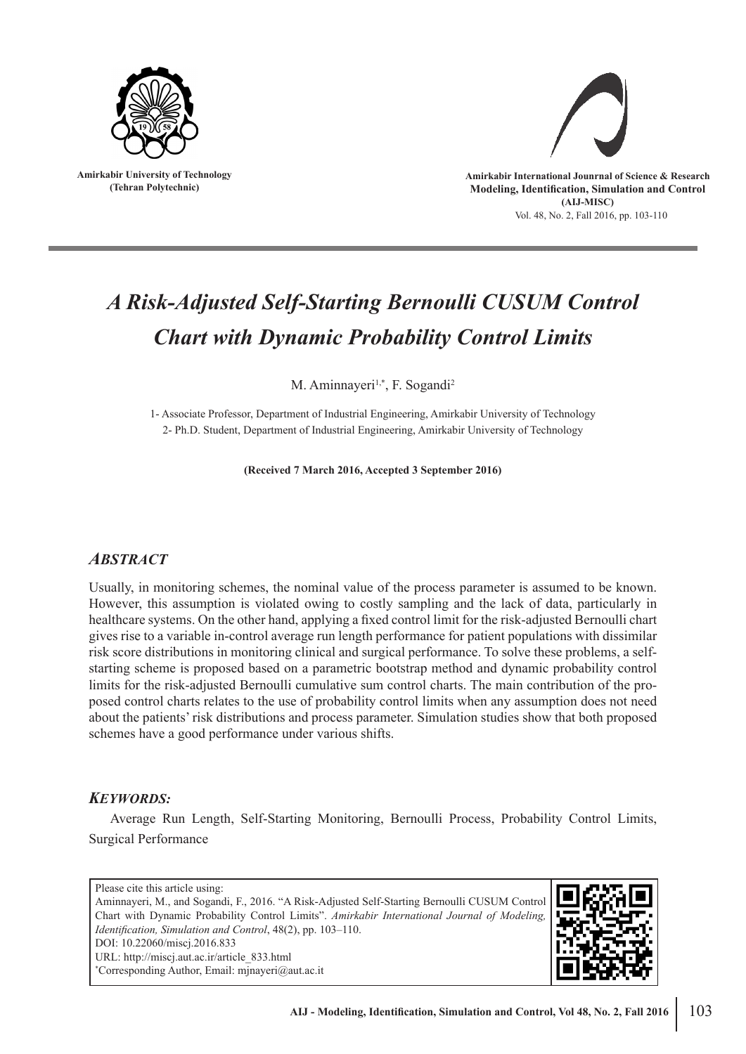

**Amirkabir University of Technology (Tehran Polytechnic)**



Vol. 48, No. 2, Fall 2016, pp. 103-110

# *A Risk-Adjusted Self-Starting Bernoulli CUSUM Control Chart with Dynamic Probability Control Limits*

M. Aminnayeri<sup>1,\*</sup>, F. Sogandi<sup>2</sup>

1- Associate Professor, Department of Industrial Engineering, Amirkabir University of Technology 2- Ph.D. Student, Department of Industrial Engineering, Amirkabir University of Technology

**(Received 7 March 2016, Accepted 3 September 2016)**

## *ABSTRACT*

Usually, in monitoring schemes, the nominal value of the process parameter is assumed to be known. However, this assumption is violated owing to costly sampling and the lack of data, particularly in healthcare systems. On the other hand, applying a fixed control limit for the risk-adjusted Bernoulli chart gives rise to a variable in-control average run length performance for patient populations with dissimilar risk score distributions in monitoring clinical and surgical performance. To solve these problems, a selfstarting scheme is proposed based on a parametric bootstrap method and dynamic probability control limits for the risk-adjusted Bernoulli cumulative sum control charts. The main contribution of the proposed control charts relates to the use of probability control limits when any assumption does not need about the patients' risk distributions and process parameter. Simulation studies show that both proposed schemes have a good performance under various shifts.

### *KEYWORDS:*

Average Run Length, Self-Starting Monitoring, Bernoulli Process, Probability Control Limits, Surgical Performance

Please cite this article using: Aminnayeri, M., and Sogandi, F., 2016. "A Risk-Adjusted Self-Starting Bernoulli CUSUM Control Chart with Dynamic Probability Control Limits". *Amirkabir International Journal of Modeling, Identification, Simulation and Control*, 48(2), pp. 103–110. DOI: 10.22060/miscj.2016.833 URL: http://miscj.aut.ac.ir/article\_833.html \* Corresponding Author, Email: mjnayeri@aut.ac.it

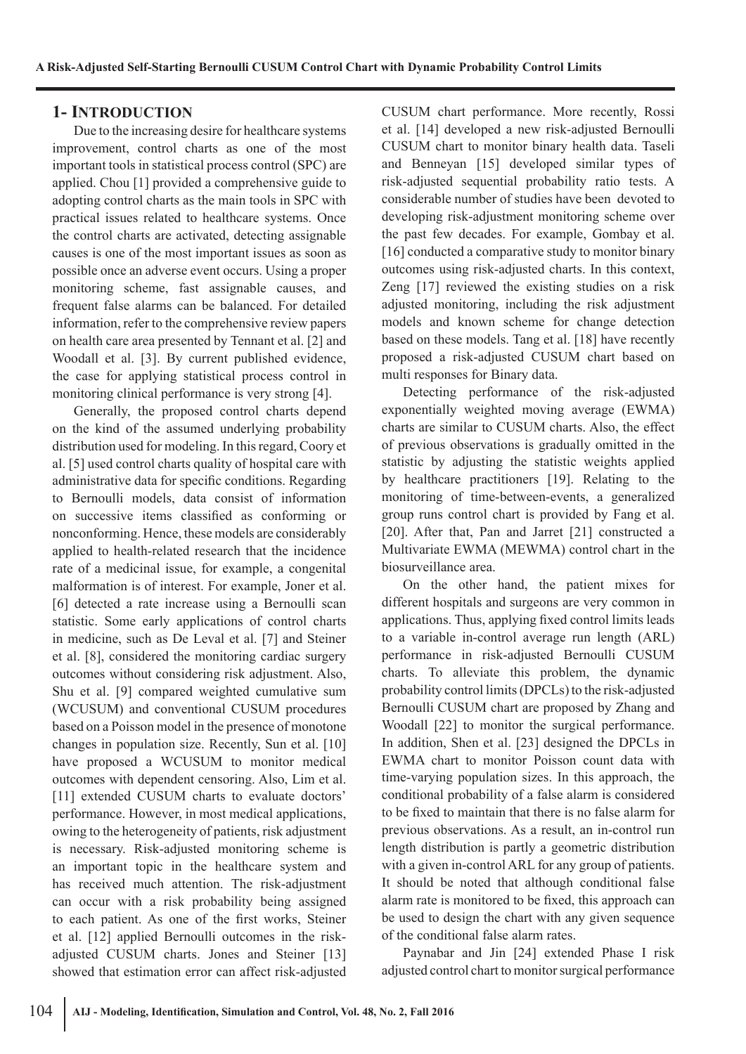## **1- INTRODUCTION**

Due to the increasing desire for healthcare systems improvement, control charts as one of the most important tools in statistical process control (SPC) are applied. Chou [1] provided a comprehensive guide to adopting control charts as the main tools in SPC with practical issues related to healthcare systems. Once the control charts are activated, detecting assignable causes is one of the most important issues as soon as possible once an adverse event occurs. Using a proper monitoring scheme, fast assignable causes, and frequent false alarms can be balanced. For detailed information, refer to the comprehensive review papers on health care area presented by Tennant et al. [2] and Woodall et al. [3]. By current published evidence, the case for applying statistical process control in monitoring clinical performance is very strong [4].

Generally, the proposed control charts depend on the kind of the assumed underlying probability distribution used for modeling. In this regard, Coory et al. [5] used control charts quality of hospital care with administrative data for specific conditions. Regarding to Bernoulli models, data consist of information on successive items classified as conforming or nonconforming. Hence, these models are considerably applied to health-related research that the incidence rate of a medicinal issue, for example, a congenital malformation is of interest. For example, Joner et al. [6] detected a rate increase using a Bernoulli scan statistic. Some early applications of control charts in medicine, such as De Leval et al. [7] and Steiner et al. [8], considered the monitoring cardiac surgery outcomes without considering risk adjustment. Also, Shu et al. [9] compared weighted cumulative sum (WCUSUM) and conventional CUSUM procedures based on a Poisson model in the presence of monotone changes in population size. Recently, Sun et al. [10] have proposed a WCUSUM to monitor medical outcomes with dependent censoring. Also, Lim et al. [11] extended CUSUM charts to evaluate doctors' performance. However, in most medical applications, owing to the heterogeneity of patients, risk adjustment is necessary. Risk-adjusted monitoring scheme is an important topic in the healthcare system and has received much attention. The risk-adjustment can occur with a risk probability being assigned to each patient. As one of the first works, Steiner et al. [12] applied Bernoulli outcomes in the riskadjusted CUSUM charts. Jones and Steiner [13] showed that estimation error can affect risk-adjusted CUSUM chart performance. More recently, Rossi et al. [14] developed a new risk-adjusted Bernoulli CUSUM chart to monitor binary health data. Taseli and Benneyan [15] developed similar types of risk-adjusted sequential probability ratio tests. A considerable number of studies have been devoted to developing risk-adjustment monitoring scheme over the past few decades. For example, Gombay et al. [16] conducted a comparative study to monitor binary outcomes using risk-adjusted charts. In this context, Zeng [17] reviewed the existing studies on a risk adjusted monitoring, including the risk adjustment models and known scheme for change detection based on these models. Tang et al. [18] have recently proposed a risk-adjusted CUSUM chart based on multi responses for Binary data.

Detecting performance of the risk-adjusted exponentially weighted moving average (EWMA) charts are similar to CUSUM charts. Also, the effect of previous observations is gradually omitted in the statistic by adjusting the statistic weights applied by healthcare practitioners [19]. Relating to the monitoring of time-between-events, a generalized group runs control chart is provided by Fang et al. [20]. After that, Pan and Jarret [21] constructed a Multivariate EWMA (MEWMA) control chart in the biosurveillance area.

On the other hand, the patient mixes for different hospitals and surgeons are very common in applications. Thus, applying fixed control limits leads to a variable in-control average run length (ARL) performance in risk-adjusted Bernoulli CUSUM charts. To alleviate this problem, the dynamic probability control limits (DPCLs) to the risk-adjusted Bernoulli CUSUM chart are proposed by Zhang and Woodall [22] to monitor the surgical performance. In addition, Shen et al. [23] designed the DPCLs in EWMA chart to monitor Poisson count data with time-varying population sizes. In this approach, the conditional probability of a false alarm is considered to be fixed to maintain that there is no false alarm for previous observations. As a result, an in-control run length distribution is partly a geometric distribution with a given in-control ARL for any group of patients. It should be noted that although conditional false alarm rate is monitored to be fixed, this approach can be used to design the chart with any given sequence of the conditional false alarm rates.

Paynabar and Jin [24] extended Phase I risk adjusted control chart to monitor surgical performance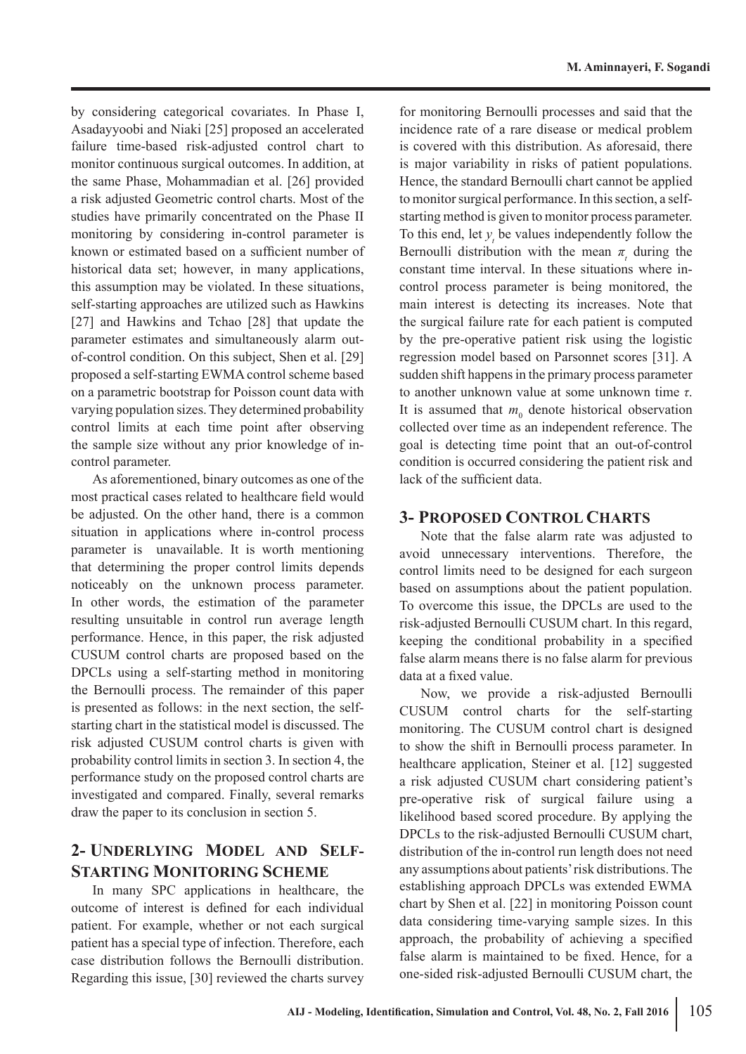by considering categorical covariates. In Phase I, Asadayyoobi and Niaki [25] proposed an accelerated failure time-based risk-adjusted control chart to monitor continuous surgical outcomes. In addition, at the same Phase, Mohammadian et al. [26] provided a risk adjusted Geometric control charts. Most of the studies have primarily concentrated on the Phase II monitoring by considering in-control parameter is known or estimated based on a sufficient number of historical data set; however, in many applications, this assumption may be violated. In these situations, self-starting approaches are utilized such as Hawkins [27] and Hawkins and Tchao [28] that update the parameter estimates and simultaneously alarm outof-control condition. On this subject, Shen et al. [29] proposed a self-starting EWMA control scheme based on a parametric bootstrap for Poisson count data with varying population sizes. They determined probability control limits at each time point after observing the sample size without any prior knowledge of incontrol parameter.

As aforementioned, binary outcomes as one of the most practical cases related to healthcare field would be adjusted. On the other hand, there is a common situation in applications where in-control process parameter is unavailable. It is worth mentioning that determining the proper control limits depends noticeably on the unknown process parameter. In other words, the estimation of the parameter resulting unsuitable in control run average length performance. Hence, in this paper, the risk adjusted CUSUM control charts are proposed based on the DPCLs using a self-starting method in monitoring the Bernoulli process. The remainder of this paper is presented as follows: in the next section, the selfstarting chart in the statistical model is discussed. The risk adjusted CUSUM control charts is given with probability control limits in section 3. In section 4, the performance study on the proposed control charts are investigated and compared. Finally, several remarks draw the paper to its conclusion in section 5.

# **2- UNDERLYING MODEL AND SELF-STARTING MONITORING SCHEME**

In many SPC applications in healthcare, the outcome of interest is defined for each individual patient. For example, whether or not each surgical patient has a special type of infection. Therefore, each case distribution follows the Bernoulli distribution. Regarding this issue, [30] reviewed the charts survey

for monitoring Bernoulli processes and said that the incidence rate of a rare disease or medical problem is covered with this distribution. As aforesaid, there is major variability in risks of patient populations. Hence, the standard Bernoulli chart cannot be applied to monitor surgical performance. In this section, a selfstarting method is given to monitor process parameter. To this end, let  $y_t$  be values independently follow the Bernoulli distribution with the mean  $\pi$ <sub>*t*</sub> during the constant time interval. In these situations where incontrol process parameter is being monitored, the main interest is detecting its increases. Note that the surgical failure rate for each patient is computed by the pre-operative patient risk using the logistic regression model based on Parsonnet scores [31]. A sudden shift happens in the primary process parameter to another unknown value at some unknown time *τ*. It is assumed that  $m_0$  denote historical observation collected over time as an independent reference. The goal is detecting time point that an out-of-control condition is occurred considering the patient risk and lack of the sufficient data.

## **3- PROPOSED CONTROL CHARTS**

Note that the false alarm rate was adjusted to avoid unnecessary interventions. Therefore, the control limits need to be designed for each surgeon based on assumptions about the patient population. To overcome this issue, the DPCLs are used to the risk-adjusted Bernoulli CUSUM chart. In this regard, keeping the conditional probability in a specified false alarm means there is no false alarm for previous data at a fixed value.

Now, we provide a risk-adjusted Bernoulli CUSUM control charts for the self-starting monitoring. The CUSUM control chart is designed to show the shift in Bernoulli process parameter. In healthcare application, Steiner et al. [12] suggested a risk adjusted CUSUM chart considering patient's pre-operative risk of surgical failure using a likelihood based scored procedure. By applying the DPCLs to the risk-adjusted Bernoulli CUSUM chart, distribution of the in-control run length does not need any assumptions about patients' risk distributions. The establishing approach DPCLs was extended EWMA chart by Shen et al. [22] in monitoring Poisson count data considering time-varying sample sizes. In this approach, the probability of achieving a specified false alarm is maintained to be fixed. Hence, for a one-sided risk-adjusted Bernoulli CUSUM chart, the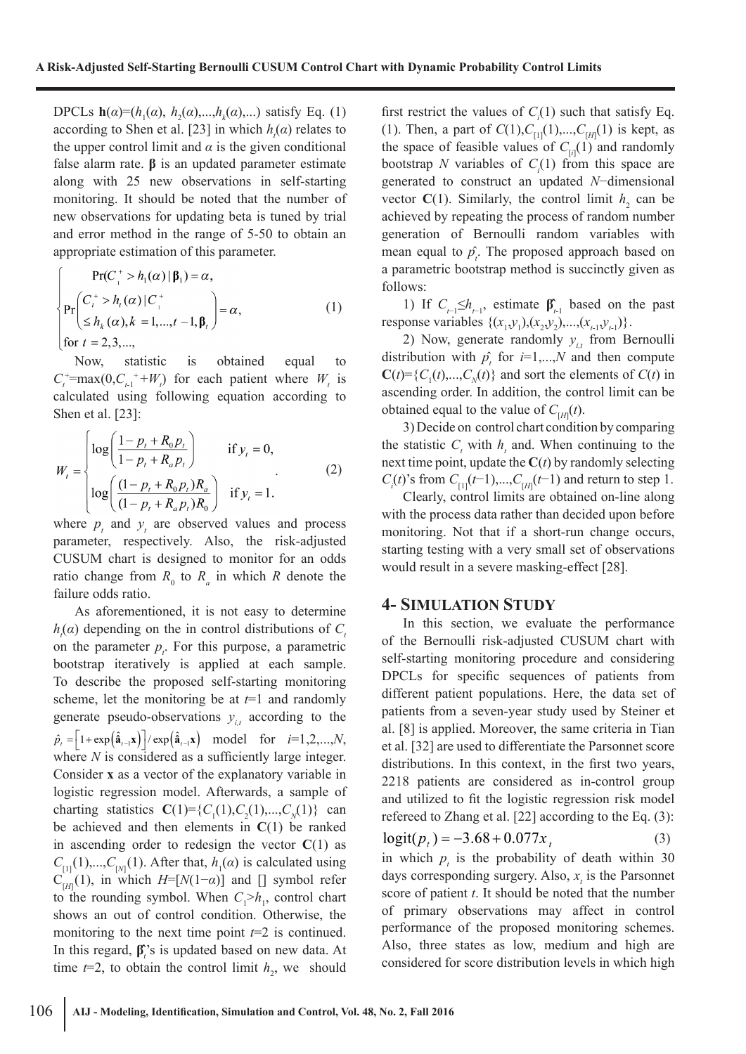DPCLs **h**( $\alpha$ )=( $h_1(\alpha)$ ,  $h_2(\alpha)$ ,..., $h_k(\alpha)$ ,...) satisfy Eq. (1) according to Shen et al. [23] in which  $h_i(\alpha)$  relates to the upper control limit and  $\alpha$  is the given conditional false alarm rate. **β** is an updated parameter estimate along with 25 new observations in self-starting monitoring. It should be noted that the number of new observations for updating beta is tuned by trial and error method in the range of 5-50 to obtain an appropriate estimation of this parameter.

$$
\Pr(C_{i}^{+} > h_{1}(\alpha) | \beta_{1}) = \alpha,
$$
\n
$$
\Pr\left(C_{i}^{+} > h_{i}(\alpha) | C_{i}^{+}\n\leq h_{k}(\alpha), k = 1, ..., t - 1, \beta_{t}\right) = \alpha,
$$
\n(1)\nfor  $t = 2, 3, ...,$ 

Now, statistic is obtained equal to  $C_t^+$ =max(0, $C_{t-1}$ <sup>+</sup>+*W<sub>t</sub>*) for each patient where *W<sub>t</sub>* is calculated using following equation according to Shen et al. [23]:

$$
W_{t} = \begin{cases} \log\left(\frac{1 - p_{t} + R_{0}p_{t}}{1 - p_{t} + R_{a}p_{t}}\right) & \text{if } y_{t} = 0, \\ \log\left(\frac{(1 - p_{t} + R_{0}p_{t})R_{a}}{(1 - p_{t} + R_{a}p_{t})R_{0}}\right) & \text{if } y_{t} = 1. \end{cases}
$$
(2)

where  $p_t$  and  $y_t$  are observed values and process parameter, respectively. Also, the risk-adjusted CUSUM chart is designed to monitor for an odds ratio change from  $R_0$  to  $R_a$  in which  $R$  denote the failure odds ratio.

As aforementioned, it is not easy to determine  $h<sub>t</sub>(\alpha)$  depending on the in control distributions of  $C<sub>t</sub>$ on the parameter  $p_i$ . For this purpose, a parametric bootstrap iteratively is applied at each sample. To describe the proposed self-starting monitoring scheme, let the monitoring be at *t*=1 and randomly generate pseudo-observations  $y_{i}$  according to the  $\hat{p}_i = \left| 1 + \exp\left( \hat{\mathbf{a}}_{i-1} \mathbf{x} \right) \right| / \exp\left( \hat{\mathbf{a}}_{i-1} \mathbf{x} \right) \text{ model for } i=1,2,...,N,$ where *N* is considered as a sufficiently large integer. Consider **x** as a vector of the explanatory variable in logistic regression model. Afterwards, a sample of charting statistics  $C(1) = \{C_1(1), C_2(1),..., C_N(1)\}$  can be achieved and then elements in **C**(1) be ranked in ascending order to redesign the vector  $C(1)$  as  $C_{[1]}(1),...,C_{[N]}(1)$ . After that,  $h_1(\alpha)$  is calculated using  $C_{[H]}(1)$ , in which  $H=[N(1-\alpha)]$  and [] symbol refer to the rounding symbol. When  $C_1 > h_1$ , control chart shows an out of control condition. Otherwise, the monitoring to the next time point  $t=2$  is continued. In this regard,  $\beta^{\prime}$ <sub>*i*</sub>'s is updated based on new data. At time  $t=2$ , to obtain the control limit  $h_2$ , we should first restrict the values of  $C_i(1)$  such that satisfy Eq. (1). Then, a part of  $C(1), C_{[1]}(1),..., C_{[H]}(1)$  is kept, as the space of feasible values of  $C_{[i]}(1)$  and randomly bootstrap *N* variables of  $C_i(1)$  from this space are generated to construct an updated *N*−dimensional vector  $C(1)$ . Similarly, the control limit  $h_2$  can be achieved by repeating the process of random number generation of Bernoulli random variables with mean equal to  $\hat{p}_i$ . The proposed approach based on a parametric bootstrap method is succinctly given as follows:

1) If  $C_{t-1} \leq h_{t-1}$ , estimate  $\beta_{t-1}$  based on the past response variables  $\{(x_1,y_1),(x_2,y_2),...,(x_{t-1},y_{t-1})\}$ .

2) Now, generate randomly  $y_{i}$  from Bernoulli distribution with  $p_i$  for  $i=1,...,N$  and then compute  $C(t) = \{C_1(t),...,C_N(t)\}\$ and sort the elements of  $C(t)$  in ascending order. In addition, the control limit can be obtained equal to the value of  $C_{\left[H\right]}(t)$ .

3) Decide on control chart condition by comparing the statistic  $C<sub>t</sub>$  with  $h<sub>t</sub>$  and. When continuing to the next time point, update the  $C(t)$  by randomly selecting  $C_i(t)$ 's from  $C_{[1]}(t-1)$ ,..., $C_{[H]}(t-1)$  and return to step 1.

Clearly, control limits are obtained on-line along with the process data rather than decided upon before monitoring. Not that if a short-run change occurs, starting testing with a very small set of observations would result in a severe masking-effect [28].

#### **4- SIMULATION STUDY**

In this section, we evaluate the performance of the Bernoulli risk-adjusted CUSUM chart with self-starting monitoring procedure and considering DPCLs for specific sequences of patients from different patient populations. Here, the data set of patients from a seven-year study used by Steiner et al. [8] is applied. Moreover, the same criteria in Tian et al. [32] are used to differentiate the Parsonnet score distributions. In this context, in the first two years, 2218 patients are considered as in-control group and utilized to fit the logistic regression risk model refereed to Zhang et al. [22] according to the Eq. (3):  $logit(p_t) = -3.68 + 0.077x_t$ (3)

in which  $p<sub>t</sub>$  is the probability of death within 30 days corresponding surgery. Also,  $x<sub>t</sub>$  is the Parsonnet score of patient *t*. It should be noted that the number of primary observations may affect in control performance of the proposed monitoring schemes. Also, three states as low, medium and high are considered for score distribution levels in which high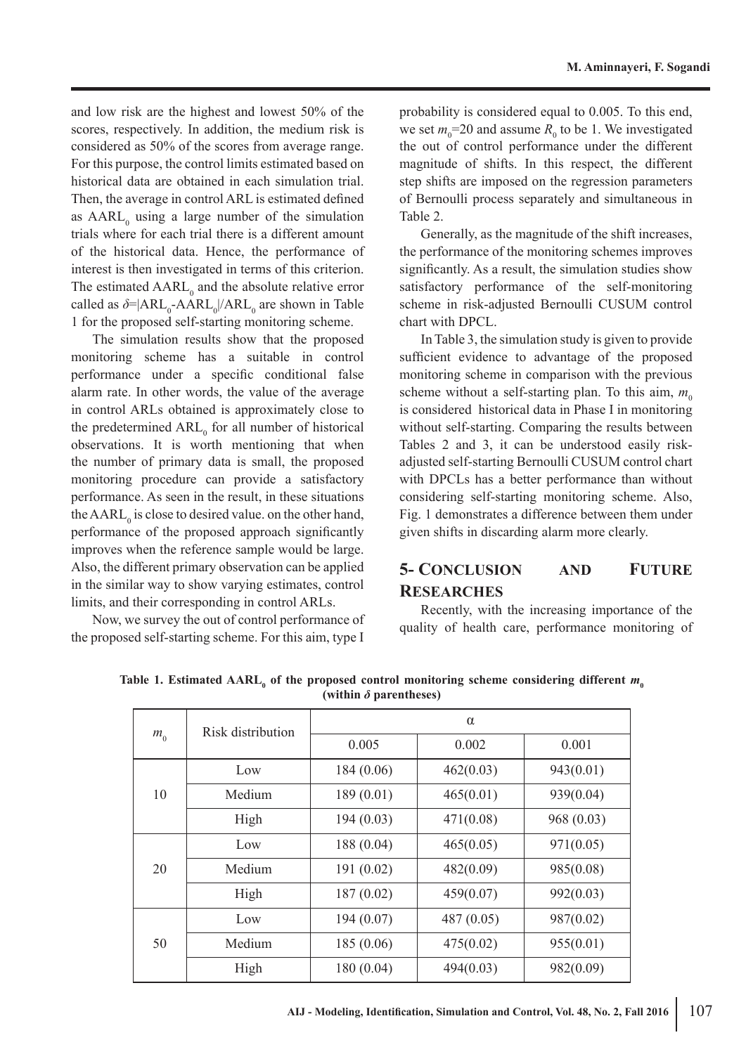and low risk are the highest and lowest 50% of the scores, respectively. In addition, the medium risk is considered as 50% of the scores from average range. For this purpose, the control limits estimated based on historical data are obtained in each simulation trial. Then, the average in control ARL is estimated defined as  $AARL<sub>0</sub>$  using a large number of the simulation trials where for each trial there is a different amount of the historical data. Hence, the performance of interest is then investigated in terms of this criterion. The estimated  $AARL_0$  and the absolute relative error called as  $\delta = |ARL_0 - AARL_0|/ARL_0$  are shown in Table 1 for the proposed self-starting monitoring scheme.

The simulation results show that the proposed monitoring scheme has a suitable in control performance under a specific conditional false alarm rate. In other words, the value of the average in control ARLs obtained is approximately close to the predetermined  $ARL_0$  for all number of historical observations. It is worth mentioning that when the number of primary data is small, the proposed monitoring procedure can provide a satisfactory performance. As seen in the result, in these situations the  $AARL_0$  is close to desired value. on the other hand, performance of the proposed approach significantly improves when the reference sample would be large. Also, the different primary observation can be applied in the similar way to show varying estimates, control limits, and their corresponding in control ARLs.

Now, we survey the out of control performance of the proposed self-starting scheme. For this aim, type I

probability is considered equal to 0.005. To this end, we set  $m_0$ =20 and assume  $R_0$  to be 1. We investigated the out of control performance under the different magnitude of shifts. In this respect, the different step shifts are imposed on the regression parameters of Bernoulli process separately and simultaneous in Table 2.

Generally, as the magnitude of the shift increases, the performance of the monitoring schemes improves significantly. As a result, the simulation studies show satisfactory performance of the self-monitoring scheme in risk-adjusted Bernoulli CUSUM control chart with DPCL.

In Table 3, the simulation study is given to provide sufficient evidence to advantage of the proposed monitoring scheme in comparison with the previous scheme without a self-starting plan. To this aim,  $m_0$ is considered historical data in Phase I in monitoring without self-starting. Comparing the results between Tables 2 and 3, it can be understood easily riskadjusted self-starting Bernoulli CUSUM control chart with DPCLs has a better performance than without considering self-starting monitoring scheme. Also, Fig. 1 demonstrates a difference between them under given shifts in discarding alarm more clearly.

## **5- CONCLUSION AND FUTURE RESEARCHES**

Recently, with the increasing importance of the quality of health care, performance monitoring of

| $m_{0}$ | Risk distribution | $\alpha$   |              |           |  |  |
|---------|-------------------|------------|--------------|-----------|--|--|
|         |                   | 0.005      | 0.002        | 0.001     |  |  |
| 10      | Low               | 184(0.06)  | 462(0.03)    | 943(0.01) |  |  |
|         | Medium            | 189(0.01)  | 465(0.01)    | 939(0.04) |  |  |
|         | High              | 194(0.03)  | 471(0.08)    | 968(0.03) |  |  |
| 20      | Low               | 188 (0.04) | 465(0.05)    | 971(0.05) |  |  |
|         | Medium            | 191(0.02)  | 482(0.09)    | 985(0.08) |  |  |
|         | High              | 187(0.02)  | 459(0.07)    | 992(0.03) |  |  |
| 50      | Low               | 194(0.07)  | 487 $(0.05)$ | 987(0.02) |  |  |
|         | Medium            | 185(0.06)  | 475(0.02)    | 955(0.01) |  |  |
|         | High              | 180(0.04)  | 494(0.03)    | 982(0.09) |  |  |

Table 1. Estimated  $\text{AARL}_0$  of the proposed control monitoring scheme considering different  $m_0$ **(within** *δ* **parentheses)**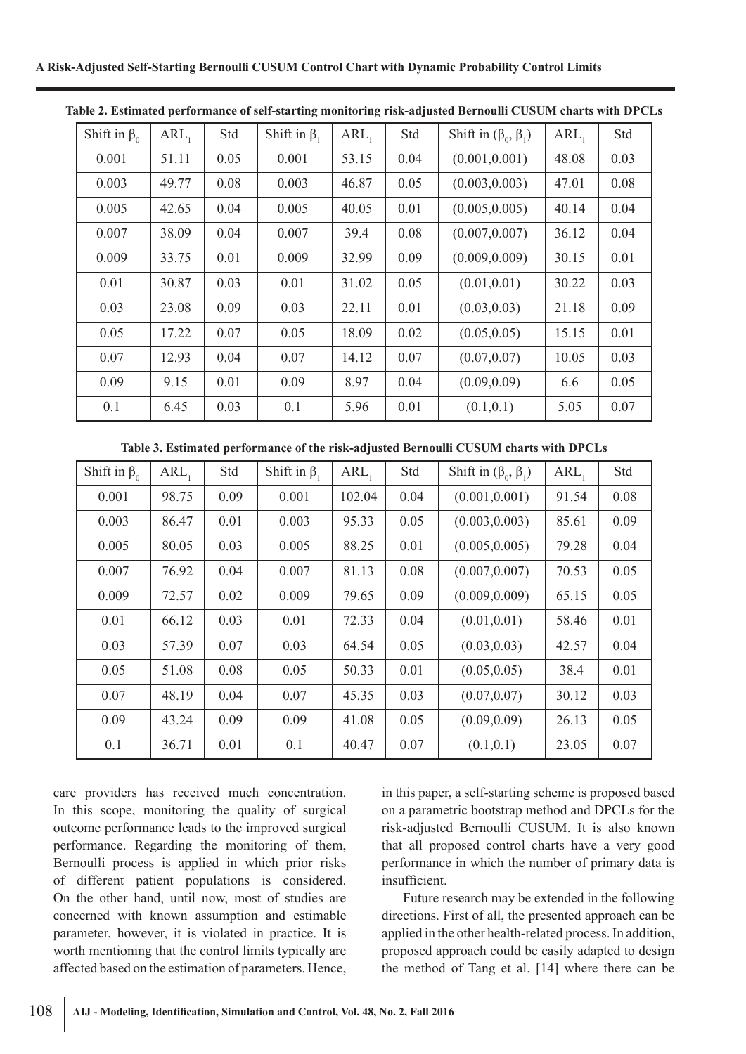| Shift in $\beta_0$ | $ARL_1$ | Std  | Shift in $\beta$ , | $ARL_1$ | Std  | Shift in $(\beta_0, \beta_1)$ | $ARL_1$ | Std  |
|--------------------|---------|------|--------------------|---------|------|-------------------------------|---------|------|
| 0.001              | 51.11   | 0.05 | 0.001              | 53.15   | 0.04 | (0.001, 0.001)                | 48.08   | 0.03 |
| 0.003              | 49.77   | 0.08 | 0.003              | 46.87   | 0.05 | (0.003, 0.003)                | 47.01   | 0.08 |
| 0.005              | 42.65   | 0.04 | 0.005              | 40.05   | 0.01 | (0.005, 0.005)                | 40.14   | 0.04 |
| 0.007              | 38.09   | 0.04 | 0.007              | 39.4    | 0.08 | (0.007, 0.007)                | 36.12   | 0.04 |
| 0.009              | 33.75   | 0.01 | 0.009              | 32.99   | 0.09 | (0.009, 0.009)                | 30.15   | 0.01 |
| 0.01               | 30.87   | 0.03 | 0.01               | 31.02   | 0.05 | (0.01, 0.01)                  | 30.22   | 0.03 |
| 0.03               | 23.08   | 0.09 | 0.03               | 22.11   | 0.01 | (0.03, 0.03)                  | 21.18   | 0.09 |
| 0.05               | 17.22   | 0.07 | 0.05               | 18.09   | 0.02 | (0.05, 0.05)                  | 15.15   | 0.01 |
| 0.07               | 12.93   | 0.04 | 0.07               | 14.12   | 0.07 | (0.07, 0.07)                  | 10.05   | 0.03 |
| 0.09               | 9.15    | 0.01 | 0.09               | 8.97    | 0.04 | (0.09, 0.09)                  | 6.6     | 0.05 |
| 0.1                | 6.45    | 0.03 | 0.1                | 5.96    | 0.01 | (0.1, 0.1)                    | 5.05    | 0.07 |

**Table 2. Estimated performance of self-starting monitoring risk-adjusted Bernoulli CUSUM charts with DPCLs**

**Table 3. Estimated performance of the risk-adjusted Bernoulli CUSUM charts with DPCLs**

| Shift in $\beta_0$ | $ARL_1$ | Std  | Shift in $\beta$ , | $ARL_1$ | Std  | Shift in $(\beta_0, \beta_1)$ | $ARL_1$ | Std  |
|--------------------|---------|------|--------------------|---------|------|-------------------------------|---------|------|
| 0.001              | 98.75   | 0.09 | 0.001              | 102.04  | 0.04 | (0.001, 0.001)                | 91.54   | 0.08 |
| 0.003              | 86.47   | 0.01 | 0.003              | 95.33   | 0.05 | (0.003, 0.003)                | 85.61   | 0.09 |
| 0.005              | 80.05   | 0.03 | 0.005              | 88.25   | 0.01 | (0.005, 0.005)                | 79.28   | 0.04 |
| 0.007              | 76.92   | 0.04 | 0.007              | 81.13   | 0.08 | (0.007, 0.007)                | 70.53   | 0.05 |
| 0.009              | 72.57   | 0.02 | 0.009              | 79.65   | 0.09 | (0.009, 0.009)                | 65.15   | 0.05 |
| 0.01               | 66.12   | 0.03 | 0.01               | 72.33   | 0.04 | (0.01, 0.01)                  | 58.46   | 0.01 |
| 0.03               | 57.39   | 0.07 | 0.03               | 64.54   | 0.05 | (0.03, 0.03)                  | 42.57   | 0.04 |
| 0.05               | 51.08   | 0.08 | 0.05               | 50.33   | 0.01 | (0.05, 0.05)                  | 38.4    | 0.01 |
| 0.07               | 48.19   | 0.04 | 0.07               | 45.35   | 0.03 | (0.07, 0.07)                  | 30.12   | 0.03 |
| 0.09               | 43.24   | 0.09 | 0.09               | 41.08   | 0.05 | (0.09, 0.09)                  | 26.13   | 0.05 |
| 0.1                | 36.71   | 0.01 | 0.1                | 40.47   | 0.07 | (0.1, 0.1)                    | 23.05   | 0.07 |

care providers has received much concentration. In this scope, monitoring the quality of surgical outcome performance leads to the improved surgical performance. Regarding the monitoring of them, Bernoulli process is applied in which prior risks of different patient populations is considered. On the other hand, until now, most of studies are concerned with known assumption and estimable parameter, however, it is violated in practice. It is worth mentioning that the control limits typically are affected based on the estimation of parameters. Hence,

in this paper, a self-starting scheme is proposed based on a parametric bootstrap method and DPCLs for the risk-adjusted Bernoulli CUSUM. It is also known that all proposed control charts have a very good performance in which the number of primary data is insufficient.

Future research may be extended in the following directions. First of all, the presented approach can be applied in the other health-related process. In addition, proposed approach could be easily adapted to design the method of Tang et al. [14] where there can be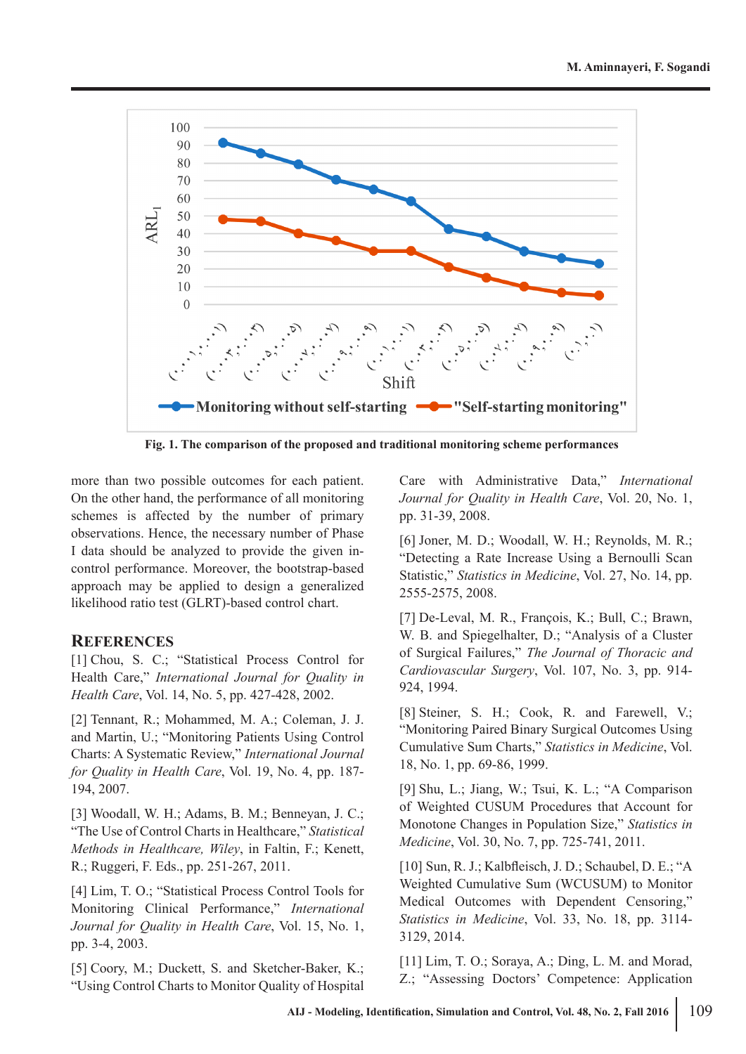

**Fig. 1. The comparison of the proposed and traditional monitoring scheme performances**

more than two possible outcomes for each patient. On the other hand, the performance of all monitoring schemes is affected by the number of primary observations. Hence, the necessary number of Phase I data should be analyzed to provide the given incontrol performance. Moreover, the bootstrap-based approach may be applied to design a generalized likelihood ratio test (GLRT)-based control chart.

### **REFERENCES**

[1] Chou, S. C.; "Statistical Process Control for Health Care," *International Journal for Quality in Health Care*, Vol. 14, No. 5, pp. 427-428, 2002.

[2] Tennant, R.; Mohammed, M. A.; Coleman, J. J. and Martin, U.; "Monitoring Patients Using Control Charts: A Systematic Review," *International Journal for Quality in Health Care*, Vol. 19, No. 4, pp. 187- 194, 2007.

[3] Woodall, W. H.; Adams, B. M.; Benneyan, J. C.; "The Use of Control Charts in Healthcare," *Statistical Methods in Healthcare, Wiley*, in Faltin, F.; Kenett, R.; Ruggeri, F. Eds., pp. 251-267, 2011.

[4] Lim, T. O.; "Statistical Process Control Tools for Monitoring Clinical Performance," *International Journal for Quality in Health Care*, Vol. 15, No. 1, pp. 3-4, 2003.

[5] Coory, M.; Duckett, S. and Sketcher-Baker, K.; "Using Control Charts to Monitor Quality of Hospital

Care with Administrative Data," *International Journal for Quality in Health Care*, Vol. 20, No. 1, pp. 31-39, 2008.

[6] Joner, M. D.; Woodall, W. H.; Reynolds, M. R.; "Detecting a Rate Increase Using a Bernoulli Scan Statistic," *Statistics in Medicine*, Vol. 27, No. 14, pp. 2555-2575, 2008.

[7] De-Leval, M. R., François, K.; Bull, C.; Brawn, W. B. and Spiegelhalter, D.; "Analysis of a Cluster of Surgical Failures," *The Journal of Thoracic and Cardiovascular Surgery*, Vol. 107, No. 3, pp. 914- 924, 1994.

[8] Steiner, S. H.; Cook, R. and Farewell, V.; "Monitoring Paired Binary Surgical Outcomes Using Cumulative Sum Charts," *Statistics in Medicine*, Vol. 18, No. 1, pp. 69-86, 1999.

[9] Shu, L.; Jiang, W.; Tsui, K. L.; "A Comparison of Weighted CUSUM Procedures that Account for Monotone Changes in Population Size," *Statistics in Medicine*, Vol. 30, No. 7, pp. 725-741, 2011.

[10] Sun, R. J.; Kalbfleisch, J. D.; Schaubel, D. E.; "A Weighted Cumulative Sum (WCUSUM) to Monitor Medical Outcomes with Dependent Censoring," *Statistics in Medicine*, Vol. 33, No. 18, pp. 3114- 3129, 2014.

[11] Lim, T. O.; Soraya, A.; Ding, L. M. and Morad, Z.; "Assessing Doctors' Competence: Application